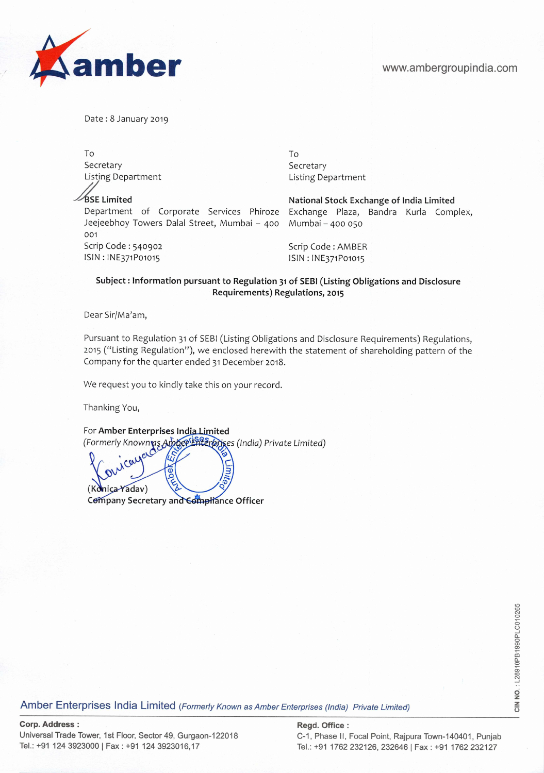

Date: 8 January 2019

To the contract of the contract of the contract of the contract of the contract of the contract of the contract of the contract of the contract of the contract of the contract of the contract of the contract of the contrac Secretary Secretary Secretary

Department of Corporate Services Phiroze Exchange Plaza, Bandra Kurla Complex, Jeejeebhoy Towers Dalal Street, Mumbai – 400 Mumbai – 400 050 Jeejeebhoy Towers Dalal Street, Mumbai - 400 001 Scrip Code : 540902 Scrip Code : AMBER lSlN:lNE371Po1o15 ISIN:lNE371Po1o15

Listing Department **Listing Department** 

Limited National **Stock Exchange of** India Limited

## **Subject: Information pursuant to Regulation 31 of SEBI (Listing Obligations and Disclosure Requirements) Regulations, 2015**

Dear Sir/Ma'am,

Pursuant to Regulation 31 of SEBI (Listing Obligations and Disclosure Requirements) Regulations, 2015 ("Listing Regulation"), we enclosed herewith the statement of shareholding pattern of the Company for the quarter ended 31 December 2018.

We request you to kindly take this on your record.

Thanking You,

For Amber Enterprises India Limited (Formerly Knownis I *(India) Private Limited)*  Π (Konica Yadav) **Company Secretary and Compliance Officer** 

es and the terrprises India Limited *(Formerly Known as Amber Enterprises (India) Private Limited)*<br>Amber Enterprises India Limited *(Formerly Known as Amber Enterprises (India) Private Limited)*<br>To the Section of the Sec

**Corp. Address: Regd. Office:**  Universal Trade Tower, 1st Floor, Sector 49, Gurgaon-122018 C-1, Phase II, Focal Point, Rajpura Town-140401, Punjab<br>Tel.: +91 124 3923000 | Fax : +91 124 3923016,17 Fel.: +91 1762 232126, 232646 | Fax : +91 1762 232127

Tel.: +91 1762 232126, 232646 | Fax: +91 1762 232127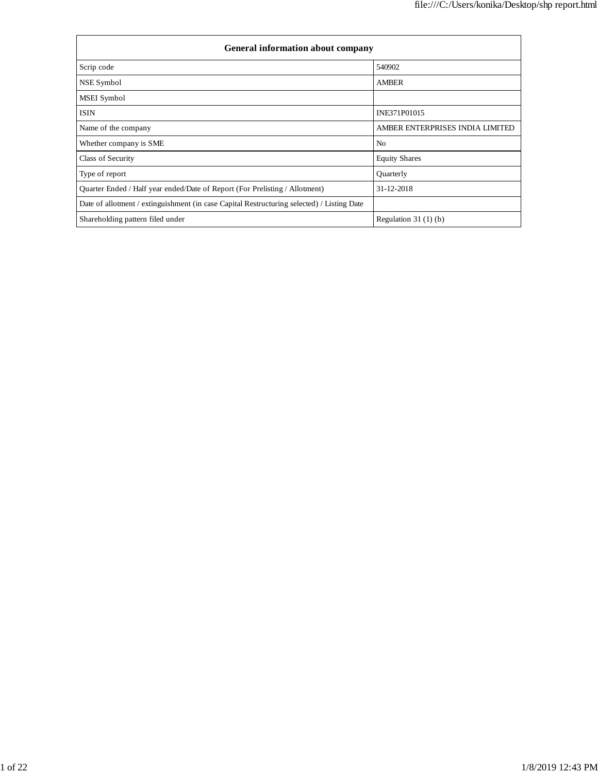| <b>General information about company</b>                                                   |                                 |  |  |  |  |  |  |
|--------------------------------------------------------------------------------------------|---------------------------------|--|--|--|--|--|--|
| Scrip code                                                                                 | 540902                          |  |  |  |  |  |  |
| NSE Symbol                                                                                 | <b>AMBER</b>                    |  |  |  |  |  |  |
| <b>MSEI</b> Symbol                                                                         |                                 |  |  |  |  |  |  |
| <b>ISIN</b>                                                                                | INE371P01015                    |  |  |  |  |  |  |
| Name of the company                                                                        | AMBER ENTERPRISES INDIA LIMITED |  |  |  |  |  |  |
| Whether company is SME                                                                     | No                              |  |  |  |  |  |  |
| Class of Security                                                                          | <b>Equity Shares</b>            |  |  |  |  |  |  |
| Type of report                                                                             | Quarterly                       |  |  |  |  |  |  |
| Quarter Ended / Half year ended/Date of Report (For Prelisting / Allotment)                | 31-12-2018                      |  |  |  |  |  |  |
| Date of allotment / extinguishment (in case Capital Restructuring selected) / Listing Date |                                 |  |  |  |  |  |  |
| Shareholding pattern filed under                                                           | Regulation $31(1)(b)$           |  |  |  |  |  |  |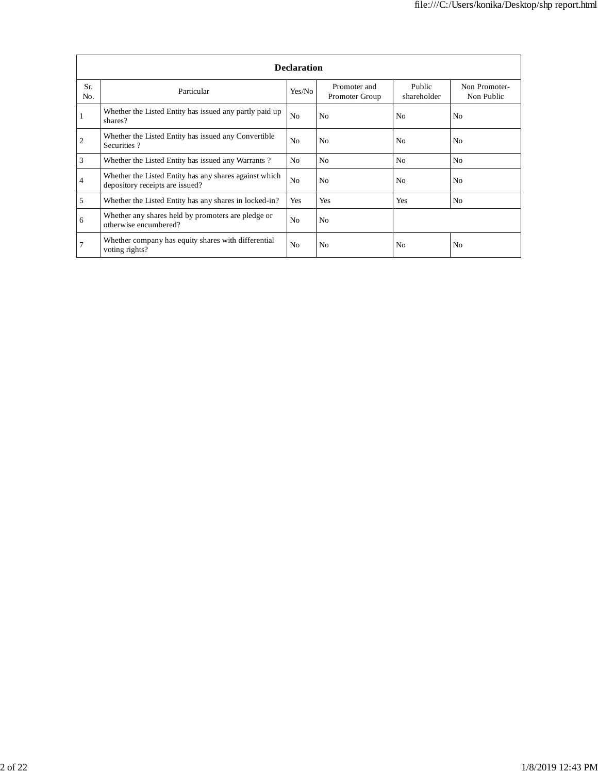|                | <b>Declaration</b>                                                                        |                |                                |                       |                             |  |  |  |  |  |  |
|----------------|-------------------------------------------------------------------------------------------|----------------|--------------------------------|-----------------------|-----------------------------|--|--|--|--|--|--|
| Sr.<br>No.     | Particular                                                                                | Yes/No         | Promoter and<br>Promoter Group | Public<br>shareholder | Non Promoter-<br>Non Public |  |  |  |  |  |  |
|                | Whether the Listed Entity has issued any partly paid up<br>shares?                        | N <sub>o</sub> | N <sub>o</sub>                 | No                    | N <sub>o</sub>              |  |  |  |  |  |  |
| $\overline{2}$ | Whether the Listed Entity has issued any Convertible<br>Securities?                       | N <sub>o</sub> | N <sub>0</sub>                 | No                    | N <sub>o</sub>              |  |  |  |  |  |  |
| 3              | Whether the Listed Entity has issued any Warrants?                                        | N <sub>0</sub> | N <sub>0</sub>                 | N <sub>0</sub>        | N <sub>0</sub>              |  |  |  |  |  |  |
| 4              | Whether the Listed Entity has any shares against which<br>depository receipts are issued? | N <sub>o</sub> | N <sub>0</sub>                 | N <sub>0</sub>        | N <sub>o</sub>              |  |  |  |  |  |  |
| 5              | Whether the Listed Entity has any shares in locked-in?                                    | Yes            | Yes                            | Yes                   | N <sub>o</sub>              |  |  |  |  |  |  |
| 6              | Whether any shares held by promoters are pledge or<br>otherwise encumbered?               | N <sub>o</sub> | N <sub>o</sub>                 |                       |                             |  |  |  |  |  |  |
|                | Whether company has equity shares with differential<br>voting rights?                     | N <sub>o</sub> | N <sub>0</sub>                 | No                    | No                          |  |  |  |  |  |  |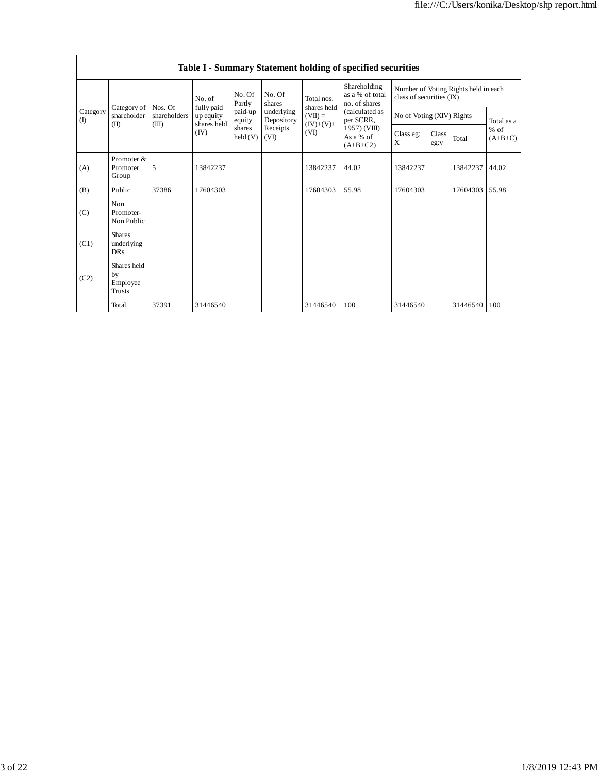|                              | Table I - Summary Statement holding of specified securities |                         |                         |                            |                          |                          |                                                  |                                                                  |               |          |                     |  |
|------------------------------|-------------------------------------------------------------|-------------------------|-------------------------|----------------------------|--------------------------|--------------------------|--------------------------------------------------|------------------------------------------------------------------|---------------|----------|---------------------|--|
| Category<br>$\rm(D)$<br>(II) |                                                             |                         | No. of                  | No. Of<br>Partly           | No. Of<br>shares         | Total nos.               | Shareholding<br>as a % of total<br>no. of shares | Number of Voting Rights held in each<br>class of securities (IX) |               |          |                     |  |
|                              | Category of<br>shareholder                                  | Nos. Of<br>shareholders | fully paid<br>up equity | paid-up<br>equity          | underlying<br>Depository | shares held<br>$(VII) =$ | (calculated as<br>per SCRR,                      | No of Voting (XIV) Rights                                        |               |          | Total as a          |  |
|                              |                                                             | (III)                   | shares held<br>(IV)     | shares<br>$\text{held}(V)$ | Receipts<br>(VI)         | $(IV)+(V)+$<br>(VI)      | 1957) (VIII)<br>As a % of<br>$(A+B+C2)$          | Class eg:<br>X                                                   | Class<br>eg:y | Total    | $%$ of<br>$(A+B+C)$ |  |
| (A)                          | Promoter &<br>Promoter<br>Group                             | 5                       | 13842237                |                            |                          | 13842237                 | 44.02                                            | 13842237                                                         |               | 13842237 | 44.02               |  |
| (B)                          | Public                                                      | 37386                   | 17604303                |                            |                          | 17604303                 | 55.98                                            | 17604303                                                         |               | 17604303 | 55.98               |  |
| (C)                          | Non<br>Promoter-<br>Non Public                              |                         |                         |                            |                          |                          |                                                  |                                                                  |               |          |                     |  |
| (C1)                         | <b>Shares</b><br>underlying<br><b>DRs</b>                   |                         |                         |                            |                          |                          |                                                  |                                                                  |               |          |                     |  |
| (C2)                         | Shares held<br>by<br>Employee<br>Trusts                     |                         |                         |                            |                          |                          |                                                  |                                                                  |               |          |                     |  |
|                              | Total                                                       | 37391                   | 31446540                |                            |                          | 31446540                 | 100                                              | 31446540                                                         |               | 31446540 | 100                 |  |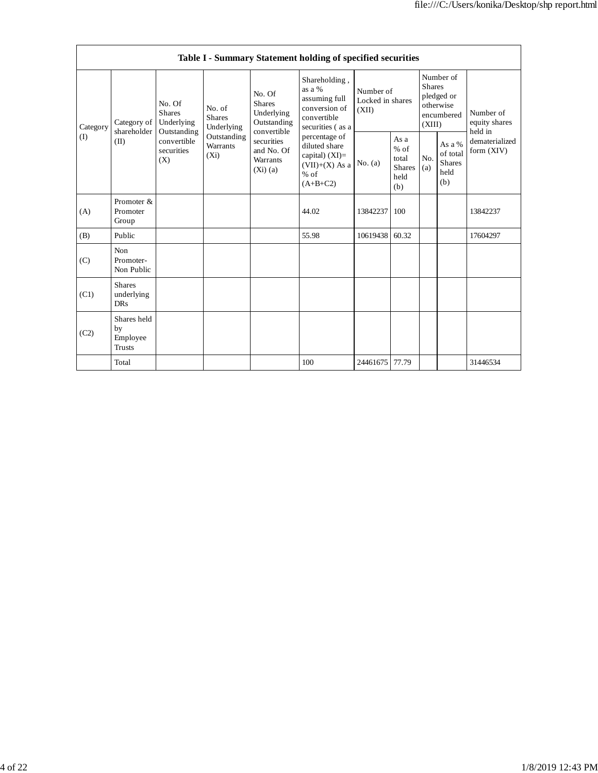|                 | Table I - Summary Statement holding of specified securities |                                                                                          |                                       |                                                                                                                                  |                                                                                                 |                                        |                                                         |                                                                               |                                                    |                                       |  |  |
|-----------------|-------------------------------------------------------------|------------------------------------------------------------------------------------------|---------------------------------------|----------------------------------------------------------------------------------------------------------------------------------|-------------------------------------------------------------------------------------------------|----------------------------------------|---------------------------------------------------------|-------------------------------------------------------------------------------|----------------------------------------------------|---------------------------------------|--|--|
| Category<br>(I) | Category of<br>shareholder<br>(II)                          | No. Of<br><b>Shares</b><br>Underlying<br>Outstanding<br>convertible<br>securities<br>(X) | No. of<br><b>Shares</b><br>Underlying | No. Of<br><b>Shares</b><br>Underlying<br>Outstanding<br>convertible<br>securities<br>and No. Of<br><b>Warrants</b><br>$(Xi)$ (a) | Shareholding,<br>as a %<br>assuming full<br>conversion of<br>convertible<br>securities (as a    | Number of<br>Locked in shares<br>(XII) |                                                         | Number of<br><b>Shares</b><br>pledged or<br>otherwise<br>encumbered<br>(XIII) |                                                    | Number of<br>equity shares<br>held in |  |  |
|                 |                                                             |                                                                                          | Outstanding<br>Warrants<br>$(X_i)$    |                                                                                                                                  | percentage of<br>diluted share<br>capital) $(XI)$ =<br>$(VII)+(X)$ As a<br>$%$ of<br>$(A+B+C2)$ | No. $(a)$                              | As a<br>$%$ of<br>total<br><b>Shares</b><br>held<br>(b) | No.<br>(a)                                                                    | As a %<br>of total<br><b>Shares</b><br>held<br>(b) | dematerialized<br>form (XIV)          |  |  |
| (A)             | Promoter &<br>Promoter<br>Group                             |                                                                                          |                                       |                                                                                                                                  | 44.02                                                                                           | 13842237                               | 100                                                     |                                                                               |                                                    | 13842237                              |  |  |
| (B)             | Public                                                      |                                                                                          |                                       |                                                                                                                                  | 55.98                                                                                           | 10619438                               | 60.32                                                   |                                                                               |                                                    | 17604297                              |  |  |
| (C)             | <b>Non</b><br>Promoter-<br>Non Public                       |                                                                                          |                                       |                                                                                                                                  |                                                                                                 |                                        |                                                         |                                                                               |                                                    |                                       |  |  |
| (C1)            | <b>Shares</b><br>underlying<br><b>DRs</b>                   |                                                                                          |                                       |                                                                                                                                  |                                                                                                 |                                        |                                                         |                                                                               |                                                    |                                       |  |  |
| (C2)            | Shares held<br>by<br>Employee<br><b>Trusts</b>              |                                                                                          |                                       |                                                                                                                                  |                                                                                                 |                                        |                                                         |                                                                               |                                                    |                                       |  |  |
|                 | Total                                                       |                                                                                          |                                       |                                                                                                                                  | 100                                                                                             | 24461675                               | 77.79                                                   |                                                                               |                                                    | 31446534                              |  |  |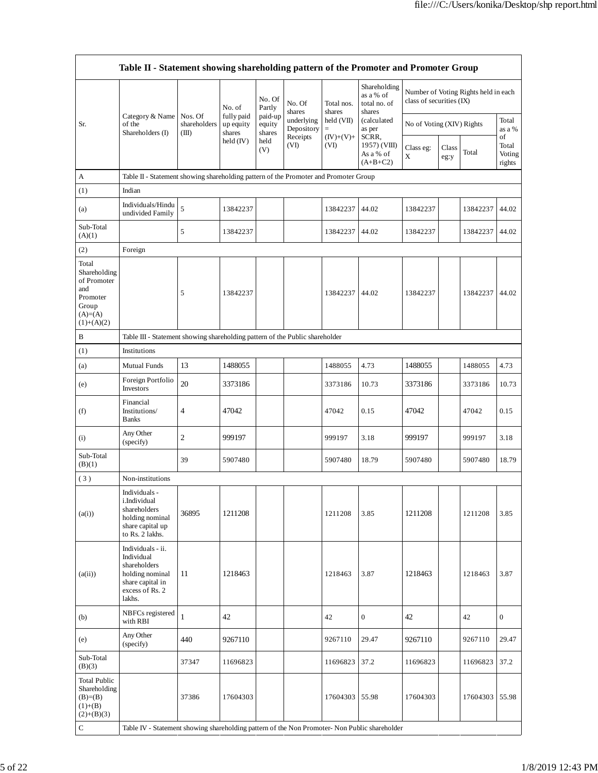|                                                                                               | Table II - Statement showing shareholding pattern of the Promoter and Promoter Group                                |                                  |                                   |                             |                          |                               |                                                     |                           |               |                                      |                                 |  |
|-----------------------------------------------------------------------------------------------|---------------------------------------------------------------------------------------------------------------------|----------------------------------|-----------------------------------|-----------------------------|--------------------------|-------------------------------|-----------------------------------------------------|---------------------------|---------------|--------------------------------------|---------------------------------|--|
|                                                                                               |                                                                                                                     |                                  | No. of                            | No. Of<br>Partly            | No. Of<br>shares         | Total nos.<br>shares          | Shareholding<br>as a % of<br>total no. of<br>shares | class of securities (IX)  |               | Number of Voting Rights held in each |                                 |  |
| Sr.                                                                                           | Category & Name<br>of the<br>Shareholders (I)                                                                       | Nos. Of<br>shareholders<br>(III) | fully paid<br>up equity<br>shares | paid-up<br>equity<br>shares | underlying<br>Depository | held (VII)<br>$\quad \  \  =$ | (calculated<br>as per                               | No of Voting (XIV) Rights |               |                                      | Total<br>as a %                 |  |
|                                                                                               |                                                                                                                     |                                  | held (IV)                         | held<br>(V)                 | Receipts<br>(VI)         | $(IV)+(V)+$<br>(VI)           | SCRR,<br>1957) (VIII)<br>As a % of<br>$(A+B+C2)$    | Class eg:<br>X            | Class<br>eg:y | Total                                | of<br>Total<br>Voting<br>rights |  |
| A                                                                                             | Table II - Statement showing shareholding pattern of the Promoter and Promoter Group                                |                                  |                                   |                             |                          |                               |                                                     |                           |               |                                      |                                 |  |
| (1)                                                                                           | Indian                                                                                                              |                                  |                                   |                             |                          |                               |                                                     |                           |               |                                      |                                 |  |
| (a)                                                                                           | Individuals/Hindu<br>undivided Family                                                                               | 5                                | 13842237                          |                             |                          | 13842237                      | 44.02                                               | 13842237                  |               | 13842237                             | 44.02                           |  |
| Sub-Total<br>(A)(1)                                                                           |                                                                                                                     | 5                                | 13842237                          |                             |                          | 13842237                      | 44.02                                               | 13842237                  |               | 13842237                             | 44.02                           |  |
| (2)                                                                                           | Foreign                                                                                                             |                                  |                                   |                             |                          |                               |                                                     |                           |               |                                      |                                 |  |
| Total<br>Shareholding<br>of Promoter<br>and<br>Promoter<br>Group<br>$(A)=(A)$<br>$(1)+(A)(2)$ |                                                                                                                     | 5                                | 13842237                          |                             |                          | 13842237                      | 44.02                                               | 13842237                  |               | 13842237                             | 44.02                           |  |
| B                                                                                             | Table III - Statement showing shareholding pattern of the Public shareholder                                        |                                  |                                   |                             |                          |                               |                                                     |                           |               |                                      |                                 |  |
| (1)                                                                                           | Institutions                                                                                                        |                                  |                                   |                             |                          |                               |                                                     |                           |               |                                      |                                 |  |
| (a)                                                                                           | <b>Mutual Funds</b>                                                                                                 | 13                               | 1488055                           |                             |                          | 1488055                       | 4.73                                                | 1488055                   |               | 1488055                              | 4.73                            |  |
| (e)                                                                                           | Foreign Portfolio<br>Investors                                                                                      | 20                               | 3373186                           |                             |                          | 3373186                       | 10.73                                               | 3373186                   |               | 3373186                              | 10.73                           |  |
| (f)                                                                                           | Financial<br>Institutions/<br><b>Banks</b>                                                                          | $\overline{4}$                   | 47042                             |                             |                          | 47042                         | 0.15                                                | 47042                     |               | 47042                                | 0.15                            |  |
| (i)                                                                                           | Any Other<br>(specify)                                                                                              | 2                                | 999197                            |                             |                          | 999197                        | 3.18                                                | 999197                    |               | 999197                               | 3.18                            |  |
| Sub-Total<br>(B)(1)                                                                           |                                                                                                                     | 39                               | 5907480                           |                             |                          | 5907480                       | 18.79                                               | 5907480                   |               | 5907480                              | 18.79                           |  |
| (3)                                                                                           | Non-institutions                                                                                                    |                                  |                                   |                             |                          |                               |                                                     |                           |               |                                      |                                 |  |
| (a(i))                                                                                        | Individuals -<br>i.Individual<br>shareholders<br>holding nominal<br>share capital up<br>to Rs. 2 lakhs.             | 36895                            | 1211208                           |                             |                          | 1211208                       | 3.85                                                | 1211208                   |               | 1211208                              | 3.85                            |  |
| (a(ii))                                                                                       | Individuals - ii.<br>Individual<br>shareholders<br>holding nominal<br>share capital in<br>excess of Rs. 2<br>lakhs. | 11                               | 1218463                           |                             |                          | 1218463                       | 3.87                                                | 1218463                   |               | 1218463                              | 3.87                            |  |
| (b)                                                                                           | NBFCs registered<br>with RBI                                                                                        | $\mathbf{1}$                     | 42                                |                             |                          | 42                            | $\boldsymbol{0}$                                    | 42                        |               | 42                                   | $\mathbf{0}$                    |  |
| (e)                                                                                           | Any Other<br>(specify)                                                                                              | 440                              | 9267110                           |                             |                          | 9267110                       | 29.47                                               | 9267110                   |               | 9267110                              | 29.47                           |  |
| Sub-Total<br>(B)(3)                                                                           |                                                                                                                     | 37347                            | 11696823                          |                             |                          | 11696823                      | 37.2                                                | 11696823                  |               | 11696823                             | 37.2                            |  |
| <b>Total Public</b><br>Shareholding<br>$(B)=B)$<br>$(1)+(B)$<br>$(2)+(B)(3)$                  |                                                                                                                     | 37386                            | 17604303                          |                             |                          | 17604303                      | 55.98                                               | 17604303                  |               | 17604303                             | 55.98                           |  |
| ${\bf C}$                                                                                     | Table IV - Statement showing shareholding pattern of the Non Promoter- Non Public shareholder                       |                                  |                                   |                             |                          |                               |                                                     |                           |               |                                      |                                 |  |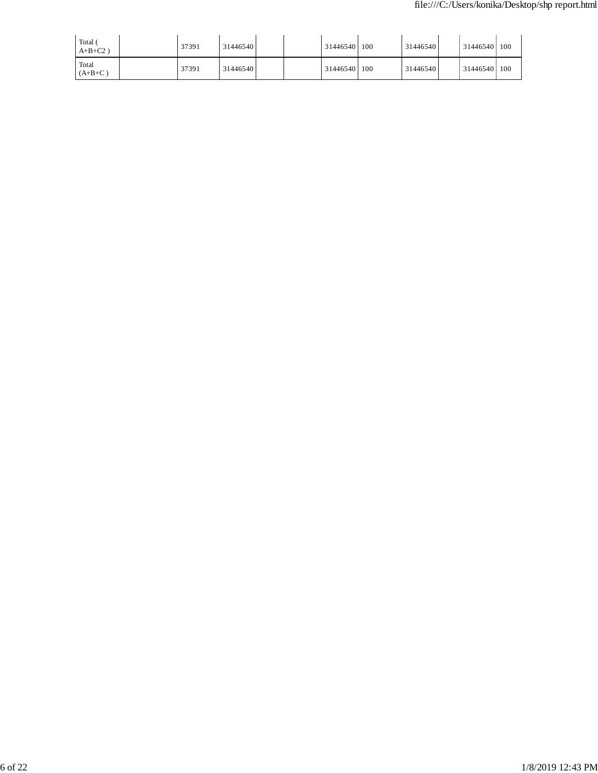| Total<br>$A+B+C2$  | 37391 | 31446540 |  | 31446540 100 | 31446540 | 31446540 100 |     |
|--------------------|-------|----------|--|--------------|----------|--------------|-----|
| Total<br>$(A+B+C)$ | 37391 | 31446540 |  | 31446540 100 | 31446540 | 31446540     | 100 |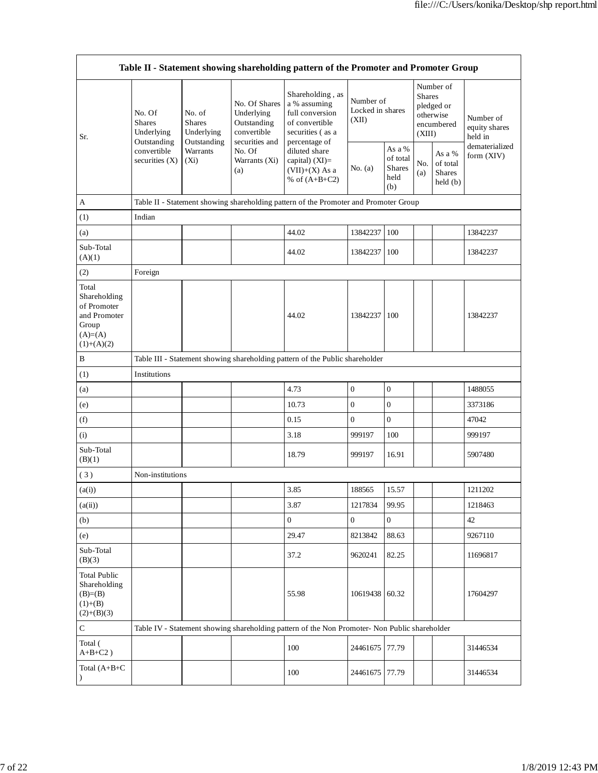| Table II - Statement showing shareholding pattern of the Promoter and Promoter Group        |                                                      |                                                      |                                                                                                               |                                                                                                            |                                        |                                                    |                                                                               |                                                                |                                                         |  |
|---------------------------------------------------------------------------------------------|------------------------------------------------------|------------------------------------------------------|---------------------------------------------------------------------------------------------------------------|------------------------------------------------------------------------------------------------------------|----------------------------------------|----------------------------------------------------|-------------------------------------------------------------------------------|----------------------------------------------------------------|---------------------------------------------------------|--|
| Sr.                                                                                         | No. Of<br><b>Shares</b><br>Underlying<br>Outstanding | No. of<br><b>Shares</b><br>Underlying<br>Outstanding | No. Of Shares<br>Underlying<br>Outstanding<br>convertible<br>securities and<br>No. Of<br>Warrants (Xi)<br>(a) | Shareholding, as<br>a % assuming<br>full conversion<br>of convertible<br>securities (as a<br>percentage of | Number of<br>Locked in shares<br>(XII) |                                                    | Number of<br><b>Shares</b><br>pledged or<br>otherwise<br>encumbered<br>(XIII) |                                                                | Number of<br>equity shares<br>held in<br>dematerialized |  |
|                                                                                             | convertible<br>securities (X)                        | Warrants<br>$(X_i)$                                  |                                                                                                               | diluted share<br>capital) (XI)=<br>$(VII)+(X)$ As a<br>% of $(A+B+C2)$                                     | No. (a)                                | As a %<br>of total<br><b>Shares</b><br>held<br>(b) | No.<br>(a)                                                                    | As a %<br>of total<br><b>Shares</b><br>$\text{held}(\text{b})$ | form (XIV)                                              |  |
| $\mathbf{A}$                                                                                |                                                      |                                                      |                                                                                                               | Table II - Statement showing shareholding pattern of the Promoter and Promoter Group                       |                                        |                                                    |                                                                               |                                                                |                                                         |  |
| (1)                                                                                         | Indian                                               |                                                      |                                                                                                               |                                                                                                            |                                        |                                                    |                                                                               |                                                                |                                                         |  |
| (a)                                                                                         |                                                      |                                                      |                                                                                                               | 44.02                                                                                                      | 13842237                               | 100                                                |                                                                               |                                                                | 13842237                                                |  |
| Sub-Total<br>(A)(1)                                                                         |                                                      |                                                      |                                                                                                               | 44.02                                                                                                      | 13842237                               | 100                                                |                                                                               |                                                                | 13842237                                                |  |
| (2)                                                                                         | Foreign                                              |                                                      |                                                                                                               |                                                                                                            |                                        |                                                    |                                                                               |                                                                |                                                         |  |
| Total<br>Shareholding<br>of Promoter<br>and Promoter<br>Group<br>$(A)= (A)$<br>$(1)+(A)(2)$ |                                                      |                                                      |                                                                                                               | 44.02                                                                                                      | 13842237                               | 100                                                |                                                                               |                                                                | 13842237                                                |  |
| $\, {\bf B}$                                                                                |                                                      |                                                      |                                                                                                               | Table III - Statement showing shareholding pattern of the Public shareholder                               |                                        |                                                    |                                                                               |                                                                |                                                         |  |
| (1)                                                                                         | Institutions                                         |                                                      |                                                                                                               |                                                                                                            |                                        |                                                    |                                                                               |                                                                |                                                         |  |
| (a)                                                                                         |                                                      |                                                      |                                                                                                               | 4.73                                                                                                       | $\mathbf{0}$                           | $\overline{0}$                                     |                                                                               |                                                                | 1488055                                                 |  |
| (e)                                                                                         |                                                      |                                                      |                                                                                                               | 10.73                                                                                                      | $\boldsymbol{0}$                       | $\boldsymbol{0}$                                   |                                                                               |                                                                | 3373186                                                 |  |
| (f)                                                                                         |                                                      |                                                      |                                                                                                               | 0.15                                                                                                       | $\boldsymbol{0}$                       | $\boldsymbol{0}$                                   |                                                                               |                                                                | 47042                                                   |  |
| (i)                                                                                         |                                                      |                                                      |                                                                                                               | 3.18                                                                                                       | 999197                                 | 100                                                |                                                                               |                                                                | 999197                                                  |  |
| Sub-Total<br>(B)(1)                                                                         |                                                      |                                                      |                                                                                                               | 18.79                                                                                                      | 999197                                 | 16.91                                              |                                                                               |                                                                | 5907480                                                 |  |
| (3)                                                                                         | Non-institutions                                     |                                                      |                                                                                                               |                                                                                                            |                                        |                                                    |                                                                               |                                                                |                                                         |  |
| (a(i))                                                                                      |                                                      |                                                      |                                                                                                               | 3.85                                                                                                       | 188565                                 | 15.57                                              |                                                                               |                                                                | 1211202                                                 |  |
| (a(ii))                                                                                     |                                                      |                                                      |                                                                                                               | 3.87                                                                                                       | 1217834                                | 99.95                                              |                                                                               |                                                                | 1218463                                                 |  |
| (b)                                                                                         |                                                      |                                                      |                                                                                                               | $\boldsymbol{0}$                                                                                           | $\mathbf{0}$                           | $\boldsymbol{0}$                                   |                                                                               |                                                                | 42                                                      |  |
| (e)                                                                                         |                                                      |                                                      |                                                                                                               | 29.47                                                                                                      | 8213842                                | 88.63                                              |                                                                               |                                                                | 9267110                                                 |  |
| Sub-Total<br>(B)(3)                                                                         |                                                      |                                                      |                                                                                                               | 37.2                                                                                                       | 9620241                                | 82.25                                              |                                                                               |                                                                | 11696817                                                |  |
| <b>Total Public</b><br>Shareholding<br>$(B)= (B)$<br>$(1)+(B)$<br>$(2)+(B)(3)$              |                                                      |                                                      |                                                                                                               | 55.98                                                                                                      | 10619438 60.32                         |                                                    |                                                                               |                                                                | 17604297                                                |  |
| $\mathbf C$                                                                                 |                                                      |                                                      |                                                                                                               | Table IV - Statement showing shareholding pattern of the Non Promoter- Non Public shareholder              |                                        |                                                    |                                                                               |                                                                |                                                         |  |
| Total (<br>$A+B+C2$ )                                                                       |                                                      |                                                      |                                                                                                               | 100                                                                                                        | 24461675                               | 77.79                                              |                                                                               |                                                                | 31446534                                                |  |
| Total (A+B+C<br>$\mathcal{E}$                                                               |                                                      |                                                      |                                                                                                               | 100                                                                                                        | 24461675 77.79                         |                                                    |                                                                               |                                                                | 31446534                                                |  |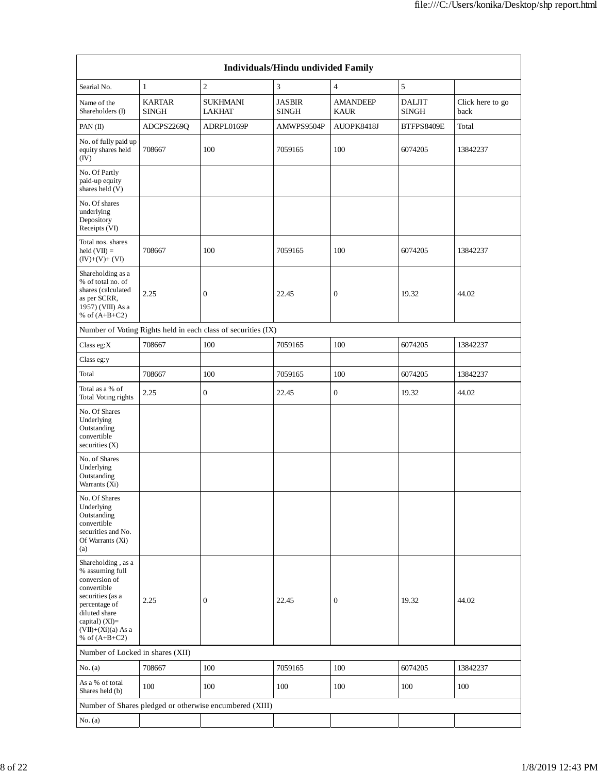| Individuals/Hindu undivided Family                                                                                                                                                       |                               |                                                               |                               |                                |                               |                          |  |  |  |  |  |
|------------------------------------------------------------------------------------------------------------------------------------------------------------------------------------------|-------------------------------|---------------------------------------------------------------|-------------------------------|--------------------------------|-------------------------------|--------------------------|--|--|--|--|--|
| Searial No.                                                                                                                                                                              | $\mathbf{1}$                  | $\overline{c}$                                                | 3                             | $\overline{4}$                 | $\sqrt{5}$                    |                          |  |  |  |  |  |
| Name of the<br>Shareholders (I)                                                                                                                                                          | <b>KARTAR</b><br><b>SINGH</b> | <b>SUKHMANI</b><br><b>LAKHAT</b>                              | <b>JASBIR</b><br><b>SINGH</b> | <b>AMANDEEP</b><br><b>KAUR</b> | <b>DALJIT</b><br><b>SINGH</b> | Click here to go<br>back |  |  |  |  |  |
| PAN(II)                                                                                                                                                                                  | ADCPS2269Q                    | ADRPL0169P                                                    | AMWPS9504P                    | AUOPK8418J                     | BTFPS8409E                    | Total                    |  |  |  |  |  |
| No. of fully paid up<br>equity shares held<br>(IV)                                                                                                                                       | 708667                        | 100                                                           | 7059165                       | 100                            | 6074205                       | 13842237                 |  |  |  |  |  |
| No. Of Partly<br>paid-up equity<br>shares held (V)                                                                                                                                       |                               |                                                               |                               |                                |                               |                          |  |  |  |  |  |
| No. Of shares<br>underlying<br>Depository<br>Receipts (VI)                                                                                                                               |                               |                                                               |                               |                                |                               |                          |  |  |  |  |  |
| Total nos. shares<br>$held (VII) =$<br>$(IV)+(V)+(VI)$                                                                                                                                   | 708667                        | 100                                                           | 7059165                       | 100                            | 6074205                       | 13842237                 |  |  |  |  |  |
| Shareholding as a<br>% of total no. of<br>shares (calculated<br>as per SCRR,<br>1957) (VIII) As a<br>% of $(A+B+C2)$                                                                     | 2.25                          | $\boldsymbol{0}$                                              | 22.45                         | $\boldsymbol{0}$               | 19.32                         | 44.02                    |  |  |  |  |  |
|                                                                                                                                                                                          |                               | Number of Voting Rights held in each class of securities (IX) |                               |                                |                               |                          |  |  |  |  |  |
| Class eg:X                                                                                                                                                                               | 708667                        | 100                                                           | 7059165                       | 100                            | 6074205                       | 13842237                 |  |  |  |  |  |
| Class eg:y                                                                                                                                                                               |                               |                                                               |                               |                                |                               |                          |  |  |  |  |  |
| Total                                                                                                                                                                                    | 708667                        | 100                                                           | 7059165                       | 100                            | 6074205                       | 13842237                 |  |  |  |  |  |
| Total as a % of<br>Total Voting rights                                                                                                                                                   | 2.25                          | $\boldsymbol{0}$                                              | 22.45                         | $\boldsymbol{0}$               | 19.32                         | 44.02                    |  |  |  |  |  |
| No. Of Shares<br>Underlying<br>Outstanding<br>convertible<br>securities $(X)$                                                                                                            |                               |                                                               |                               |                                |                               |                          |  |  |  |  |  |
| No. of Shares<br>Underlying<br>Outstanding<br>Warrants (Xi)                                                                                                                              |                               |                                                               |                               |                                |                               |                          |  |  |  |  |  |
| No. Of Shares<br>Underlying<br>Outstanding<br>convertible<br>securities and No.<br>Of Warrants (Xi)<br>(a)                                                                               |                               |                                                               |                               |                                |                               |                          |  |  |  |  |  |
| Shareholding, as a<br>% assuming full<br>conversion of<br>convertible<br>securities (as a<br>percentage of<br>diluted share<br>capital) (XI)=<br>$(VII)+(Xi)(a)$ As a<br>% of $(A+B+C2)$ | 2.25                          | $\boldsymbol{0}$                                              | 22.45                         | $\boldsymbol{0}$               | 19.32                         | 44.02                    |  |  |  |  |  |
| Number of Locked in shares (XII)                                                                                                                                                         |                               |                                                               |                               |                                |                               |                          |  |  |  |  |  |
| No. (a)                                                                                                                                                                                  | 708667                        | 100                                                           | 7059165                       | 100                            | 6074205                       | 13842237                 |  |  |  |  |  |
| As a % of total<br>Shares held (b)                                                                                                                                                       | 100                           | 100                                                           | 100                           | 100                            | 100                           | 100                      |  |  |  |  |  |
|                                                                                                                                                                                          |                               | Number of Shares pledged or otherwise encumbered (XIII)       |                               |                                |                               |                          |  |  |  |  |  |
| No. (a)                                                                                                                                                                                  |                               |                                                               |                               |                                |                               |                          |  |  |  |  |  |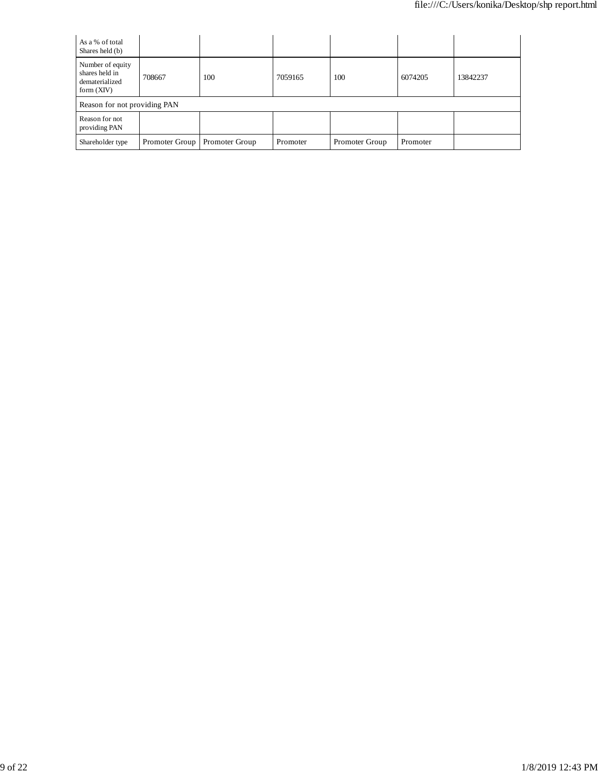| As a % of total<br>Shares held (b)                                   |                              |                |          |                |          |          |  |  |  |  |
|----------------------------------------------------------------------|------------------------------|----------------|----------|----------------|----------|----------|--|--|--|--|
| Number of equity<br>shares held in<br>dematerialized<br>form $(XIV)$ | 708667                       | 100            | 7059165  | 100            | 6074205  | 13842237 |  |  |  |  |
|                                                                      | Reason for not providing PAN |                |          |                |          |          |  |  |  |  |
| Reason for not<br>providing PAN                                      |                              |                |          |                |          |          |  |  |  |  |
| Shareholder type                                                     | Promoter Group               | Promoter Group | Promoter | Promoter Group | Promoter |          |  |  |  |  |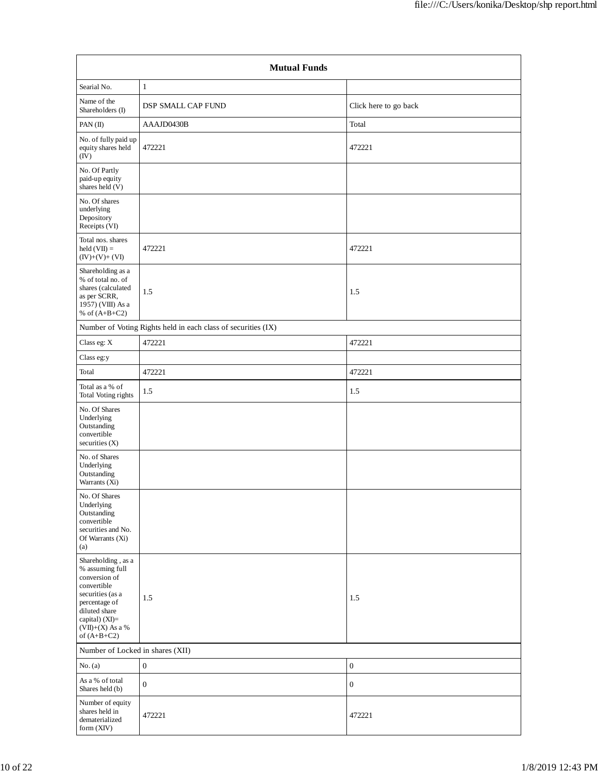|                                                                                                                                                                                      | <b>Mutual Funds</b>                                           |                       |  |  |  |  |  |  |  |
|--------------------------------------------------------------------------------------------------------------------------------------------------------------------------------------|---------------------------------------------------------------|-----------------------|--|--|--|--|--|--|--|
| Searial No.                                                                                                                                                                          | 1                                                             |                       |  |  |  |  |  |  |  |
| Name of the<br>Shareholders (I)                                                                                                                                                      | <b>DSP SMALL CAP FUND</b>                                     | Click here to go back |  |  |  |  |  |  |  |
| PAN(II)                                                                                                                                                                              | AAAJD0430B                                                    | Total                 |  |  |  |  |  |  |  |
| No. of fully paid up<br>equity shares held<br>(IV)                                                                                                                                   | 472221                                                        | 472221                |  |  |  |  |  |  |  |
| No. Of Partly<br>paid-up equity<br>shares held (V)                                                                                                                                   |                                                               |                       |  |  |  |  |  |  |  |
| No. Of shares<br>underlying<br>Depository<br>Receipts (VI)                                                                                                                           |                                                               |                       |  |  |  |  |  |  |  |
| Total nos. shares<br>$held (VII) =$<br>$(IV)+(V)+(VI)$                                                                                                                               | 472221                                                        | 472221                |  |  |  |  |  |  |  |
| Shareholding as a<br>% of total no. of<br>shares (calculated<br>as per SCRR,<br>1957) (VIII) As a<br>% of $(A+B+C2)$                                                                 | 1.5                                                           | 1.5                   |  |  |  |  |  |  |  |
|                                                                                                                                                                                      | Number of Voting Rights held in each class of securities (IX) |                       |  |  |  |  |  |  |  |
| Class eg: X                                                                                                                                                                          | 472221                                                        | 472221                |  |  |  |  |  |  |  |
| Class eg:y                                                                                                                                                                           |                                                               |                       |  |  |  |  |  |  |  |
| Total                                                                                                                                                                                | 472221                                                        | 472221                |  |  |  |  |  |  |  |
| Total as a % of<br>Total Voting rights                                                                                                                                               | 1.5                                                           | 1.5                   |  |  |  |  |  |  |  |
| No. Of Shares<br>Underlying<br>Outstanding<br>convertible<br>securities $(X)$                                                                                                        |                                                               |                       |  |  |  |  |  |  |  |
| No. of Shares<br>Underlying<br>Outstanding<br>Warrants (Xi)                                                                                                                          |                                                               |                       |  |  |  |  |  |  |  |
| No. Of Shares<br>Underlying<br>Outstanding<br>convertible<br>securities and No.<br>Of Warrants (Xi)<br>(a)                                                                           |                                                               |                       |  |  |  |  |  |  |  |
| Shareholding, as a<br>% assuming full<br>conversion of<br>convertible<br>securities (as a<br>percentage of<br>diluted share<br>capital) (XI)=<br>$(VII)+(X)$ As a %<br>of $(A+B+C2)$ | $1.5\,$                                                       | 1.5                   |  |  |  |  |  |  |  |
| Number of Locked in shares (XII)                                                                                                                                                     |                                                               |                       |  |  |  |  |  |  |  |
| No. (a)                                                                                                                                                                              | $\boldsymbol{0}$                                              | $\boldsymbol{0}$      |  |  |  |  |  |  |  |
| As a % of total<br>Shares held (b)                                                                                                                                                   | $\boldsymbol{0}$                                              | $\boldsymbol{0}$      |  |  |  |  |  |  |  |
| Number of equity<br>shares held in<br>dematerialized<br>form (XIV)                                                                                                                   | 472221                                                        | 472221                |  |  |  |  |  |  |  |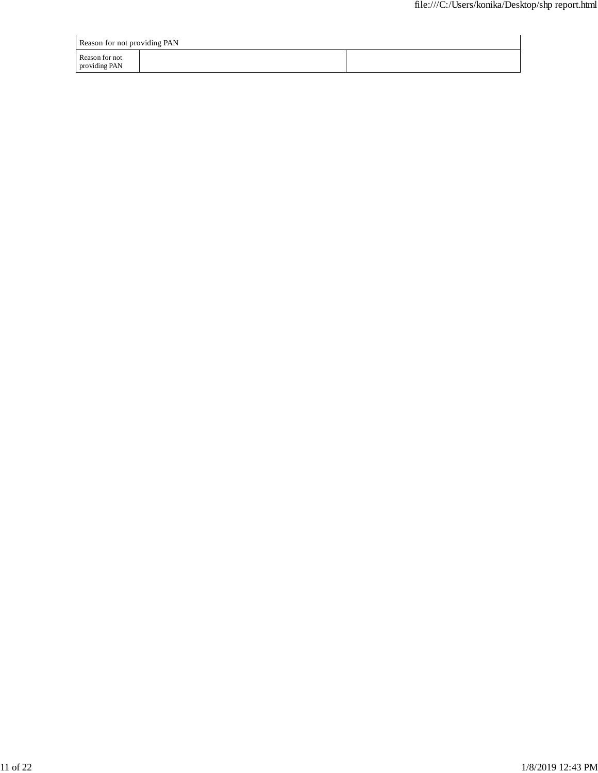| Reason for not providing PAN    |  |
|---------------------------------|--|
| Reason for not<br>providing PAN |  |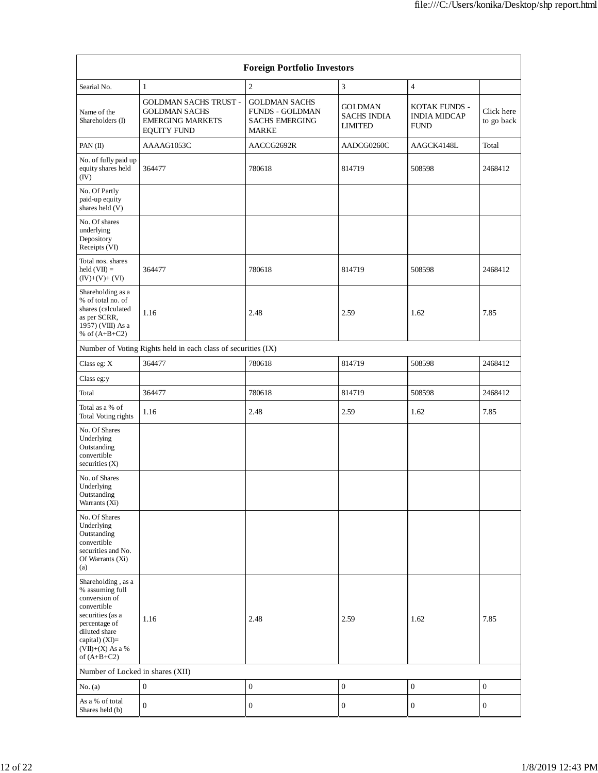|                                                                                                                                                                                        |                                                                                                       | <b>Foreign Portfolio Investors</b>                                                      |                                                        |                                                     |                          |
|----------------------------------------------------------------------------------------------------------------------------------------------------------------------------------------|-------------------------------------------------------------------------------------------------------|-----------------------------------------------------------------------------------------|--------------------------------------------------------|-----------------------------------------------------|--------------------------|
| Searial No.                                                                                                                                                                            | $\mathbf{1}$                                                                                          | $\overline{c}$                                                                          | 3                                                      | $\overline{4}$                                      |                          |
| Name of the<br>Shareholders (I)                                                                                                                                                        | <b>GOLDMAN SACHS TRUST -</b><br><b>GOLDMAN SACHS</b><br><b>EMERGING MARKETS</b><br><b>EQUITY FUND</b> | <b>GOLDMAN SACHS</b><br><b>FUNDS - GOLDMAN</b><br><b>SACHS EMERGING</b><br><b>MARKE</b> | <b>GOLDMAN</b><br><b>SACHS INDIA</b><br><b>LIMITED</b> | KOTAK FUNDS -<br><b>INDIA MIDCAP</b><br><b>FUND</b> | Click here<br>to go back |
| PAN(II)                                                                                                                                                                                | AAAAG1053C                                                                                            | AACCG2692R                                                                              | AADCG0260C                                             | AAGCK4148L                                          | Total                    |
| No. of fully paid up<br>equity shares held<br>(IV)                                                                                                                                     | 364477                                                                                                | 780618                                                                                  | 814719                                                 | 508598                                              | 2468412                  |
| No. Of Partly<br>paid-up equity<br>shares held (V)                                                                                                                                     |                                                                                                       |                                                                                         |                                                        |                                                     |                          |
| No. Of shares<br>underlying<br>Depository<br>Receipts (VI)                                                                                                                             |                                                                                                       |                                                                                         |                                                        |                                                     |                          |
| Total nos. shares<br>$held (VII) =$<br>$(IV)+(V)+(VI)$                                                                                                                                 | 364477                                                                                                | 780618                                                                                  | 814719                                                 | 508598                                              | 2468412                  |
| Shareholding as a<br>% of total no. of<br>shares (calculated<br>as per SCRR,<br>1957) (VIII) As a<br>% of $(A+B+C2)$                                                                   | 1.16                                                                                                  | 2.48                                                                                    | 2.59                                                   | 1.62                                                | 7.85                     |
|                                                                                                                                                                                        | Number of Voting Rights held in each class of securities (IX)                                         |                                                                                         |                                                        |                                                     |                          |
| Class eg: X                                                                                                                                                                            | 364477                                                                                                | 780618                                                                                  | 814719                                                 | 508598                                              | 2468412                  |
| Class eg:y                                                                                                                                                                             |                                                                                                       |                                                                                         |                                                        |                                                     |                          |
| Total                                                                                                                                                                                  | 364477                                                                                                | 780618                                                                                  | 814719                                                 | 508598                                              | 2468412                  |
| Total as a % of<br>Total Voting rights                                                                                                                                                 | 1.16                                                                                                  | 2.48                                                                                    | 2.59                                                   | 1.62                                                | 7.85                     |
| No. Of Shares<br>Underlying<br>Outstanding<br>convertible<br>securities (X)                                                                                                            |                                                                                                       |                                                                                         |                                                        |                                                     |                          |
| No. of Shares<br>Underlying<br>Outstanding<br>Warrants (Xi)                                                                                                                            |                                                                                                       |                                                                                         |                                                        |                                                     |                          |
| No. Of Shares<br>Underlying<br>Outstanding<br>convertible<br>securities and No.<br>Of Warrants (Xi)<br>(a)                                                                             |                                                                                                       |                                                                                         |                                                        |                                                     |                          |
| Shareholding, as a<br>% assuming full<br>conversion of<br>convertible<br>securities (as a<br>percentage of<br>diluted share<br>capital) $(XI)=$<br>$(VII)+(X)$ As a %<br>of $(A+B+C2)$ | 1.16                                                                                                  | 2.48                                                                                    | 2.59                                                   | 1.62                                                | 7.85                     |
| Number of Locked in shares (XII)                                                                                                                                                       |                                                                                                       |                                                                                         |                                                        |                                                     |                          |
| No. (a)                                                                                                                                                                                | $\boldsymbol{0}$                                                                                      | $\boldsymbol{0}$                                                                        | $\boldsymbol{0}$                                       | $\boldsymbol{0}$                                    | $\boldsymbol{0}$         |
| As a % of total<br>Shares held (b)                                                                                                                                                     | $\mathbf{0}$                                                                                          | 0                                                                                       | $\boldsymbol{0}$                                       | $\boldsymbol{0}$                                    | $\boldsymbol{0}$         |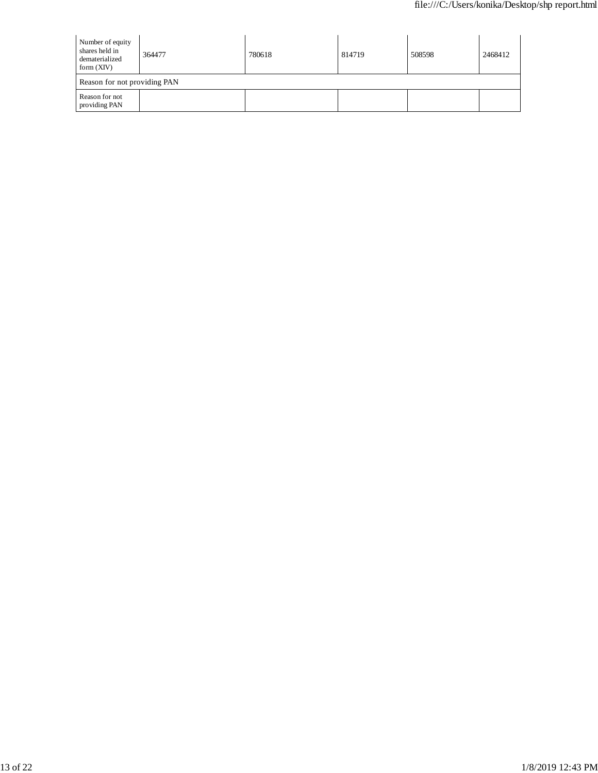| Number of equity<br>shares held in<br>dematerialized<br>form $(XIV)$ | 364477 | 780618 | 814719 | 508598 | 2468412 |  |
|----------------------------------------------------------------------|--------|--------|--------|--------|---------|--|
| Reason for not providing PAN                                         |        |        |        |        |         |  |
| Reason for not<br>providing PAN                                      |        |        |        |        |         |  |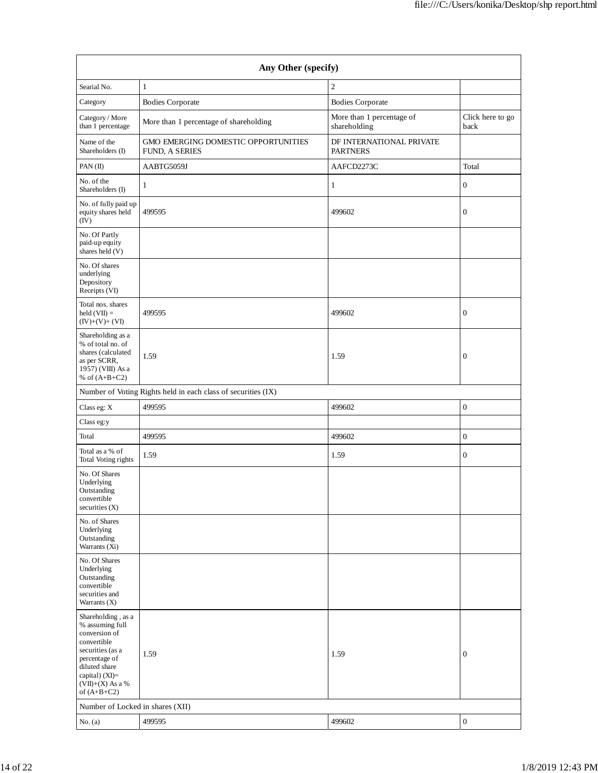| Any Other (specify)                                                                                                                                                                  |                                                               |                                             |                          |  |  |  |
|--------------------------------------------------------------------------------------------------------------------------------------------------------------------------------------|---------------------------------------------------------------|---------------------------------------------|--------------------------|--|--|--|
| Searial No.                                                                                                                                                                          | $\mathbf{1}$                                                  | $\overline{c}$                              |                          |  |  |  |
| Category                                                                                                                                                                             | <b>Bodies Corporate</b>                                       | <b>Bodies Corporate</b>                     |                          |  |  |  |
| Category / More<br>than 1 percentage                                                                                                                                                 | More than 1 percentage of shareholding                        | More than 1 percentage of<br>shareholding   | Click here to go<br>back |  |  |  |
| Name of the<br>Shareholders (I)                                                                                                                                                      | GMO EMERGING DOMESTIC OPPORTUNITIES<br>FUND, A SERIES         | DF INTERNATIONAL PRIVATE<br><b>PARTNERS</b> |                          |  |  |  |
| PAN(II)                                                                                                                                                                              | AABTG5059J                                                    | AAFCD2273C                                  | Total                    |  |  |  |
| No. of the<br>Shareholders (I)                                                                                                                                                       | 1                                                             | 1                                           | $\boldsymbol{0}$         |  |  |  |
| No. of fully paid up<br>equity shares held<br>(IV)                                                                                                                                   | 499595                                                        | 499602                                      | $\boldsymbol{0}$         |  |  |  |
| No. Of Partly<br>paid-up equity<br>shares held (V)                                                                                                                                   |                                                               |                                             |                          |  |  |  |
| No. Of shares<br>underlying<br>Depository<br>Receipts (VI)                                                                                                                           |                                                               |                                             |                          |  |  |  |
| Total nos. shares<br>held $(VII) =$<br>$(IV)+(V)+(VI)$                                                                                                                               | 499595                                                        | 499602                                      | $\boldsymbol{0}$         |  |  |  |
| Shareholding as a<br>% of total no. of<br>shares (calculated<br>as per SCRR,<br>1957) (VIII) As a<br>% of $(A+B+C2)$                                                                 | 1.59                                                          | 1.59                                        | $\boldsymbol{0}$         |  |  |  |
|                                                                                                                                                                                      | Number of Voting Rights held in each class of securities (IX) |                                             |                          |  |  |  |
| Class eg: X                                                                                                                                                                          | 499595                                                        | 499602                                      | $\mathbf{0}$             |  |  |  |
| Class eg:y                                                                                                                                                                           |                                                               |                                             |                          |  |  |  |
| Total                                                                                                                                                                                | 499595                                                        | 499602                                      | $\mathbf{0}$             |  |  |  |
| Total as a % of<br>Total Voting rights                                                                                                                                               | 1.59                                                          | 1.59                                        | $\boldsymbol{0}$         |  |  |  |
| No. Of Shares<br>Underlying<br>Outstanding<br>convertible<br>securities (X)                                                                                                          |                                                               |                                             |                          |  |  |  |
| No. of Shares<br>Underlying<br>Outstanding<br>Warrants (Xi)                                                                                                                          |                                                               |                                             |                          |  |  |  |
| No. Of Shares<br>Underlying<br>Outstanding<br>convertible<br>securities and<br>Warrants $(X)$                                                                                        |                                                               |                                             |                          |  |  |  |
| Shareholding, as a<br>% assuming full<br>conversion of<br>convertible<br>securities (as a<br>percentage of<br>diluted share<br>capital) (XI)=<br>$(VII)+(X)$ As a %<br>of $(A+B+C2)$ | 1.59                                                          | 1.59                                        | $\boldsymbol{0}$         |  |  |  |
| Number of Locked in shares (XII)                                                                                                                                                     |                                                               |                                             |                          |  |  |  |
| No. (a)                                                                                                                                                                              | 499595                                                        | 499602                                      | $\boldsymbol{0}$         |  |  |  |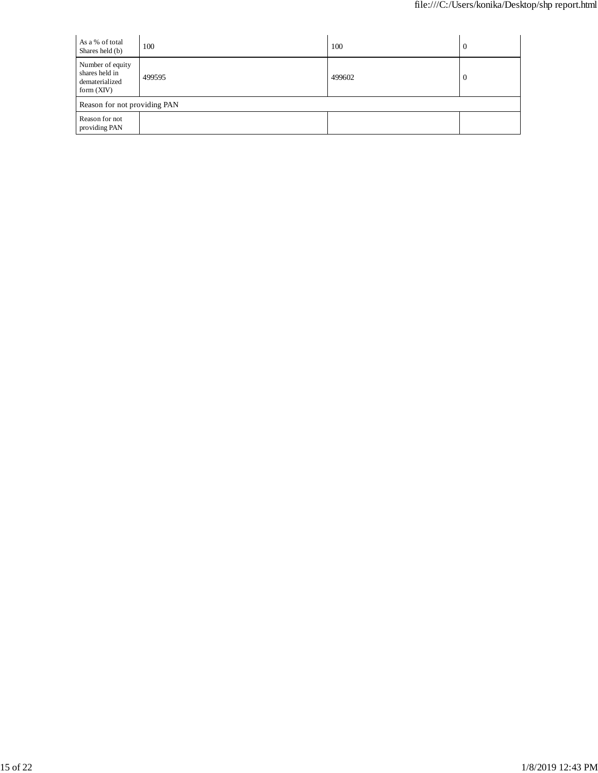| As a % of total<br>Shares held (b)                                   | 100    | 100    | $\mathbf{U}$ |
|----------------------------------------------------------------------|--------|--------|--------------|
| Number of equity<br>shares held in<br>dematerialized<br>form $(XIV)$ | 499595 | 499602 | $\theta$     |
| Reason for not providing PAN                                         |        |        |              |
| Reason for not<br>providing PAN                                      |        |        |              |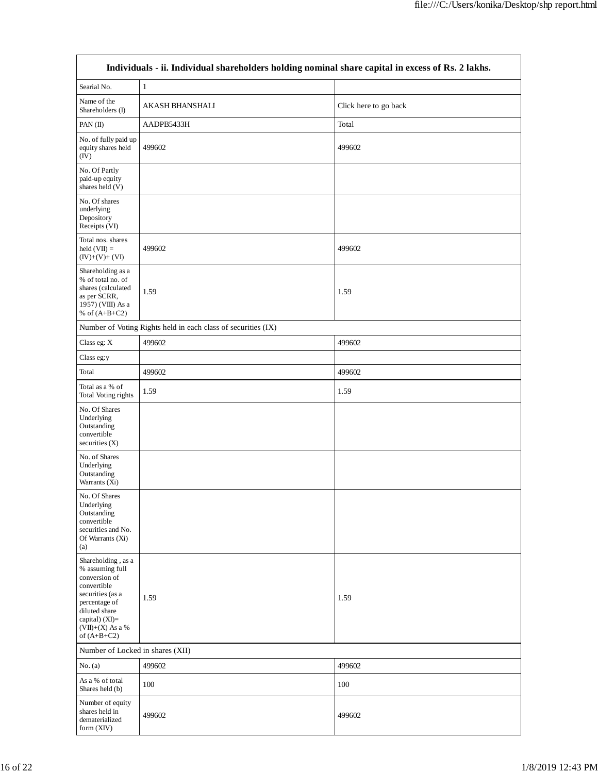|                                                                                                                                                                                      | Individuals - ii. Individual shareholders holding nominal share capital in excess of Rs. 2 lakhs. |                       |
|--------------------------------------------------------------------------------------------------------------------------------------------------------------------------------------|---------------------------------------------------------------------------------------------------|-----------------------|
| Searial No.                                                                                                                                                                          | $\mathbf{1}$                                                                                      |                       |
| Name of the<br>Shareholders (I)                                                                                                                                                      | AKASH BHANSHALI                                                                                   | Click here to go back |
| PAN(II)                                                                                                                                                                              | AADPB5433H                                                                                        | Total                 |
| No. of fully paid up<br>equity shares held<br>(IV)                                                                                                                                   | 499602                                                                                            | 499602                |
| No. Of Partly<br>paid-up equity<br>shares held (V)                                                                                                                                   |                                                                                                   |                       |
| No. Of shares<br>underlying<br>Depository<br>Receipts (VI)                                                                                                                           |                                                                                                   |                       |
| Total nos. shares<br>$held (VII) =$<br>$(IV)+(V)+(VI)$                                                                                                                               | 499602                                                                                            | 499602                |
| Shareholding as a<br>% of total no. of<br>shares (calculated<br>as per SCRR,<br>1957) (VIII) As a<br>% of $(A+B+C2)$                                                                 | 1.59                                                                                              | 1.59                  |
|                                                                                                                                                                                      | Number of Voting Rights held in each class of securities (IX)                                     |                       |
| Class eg: $X$                                                                                                                                                                        | 499602                                                                                            | 499602                |
| Class eg:y                                                                                                                                                                           |                                                                                                   |                       |
| Total                                                                                                                                                                                | 499602                                                                                            | 499602                |
| Total as a % of<br>Total Voting rights                                                                                                                                               | 1.59                                                                                              | 1.59                  |
| No. Of Shares<br>Underlying<br>Outstanding<br>convertible<br>securities $(X)$                                                                                                        |                                                                                                   |                       |
| No. of Shares<br>Underlying<br>Outstanding<br>Warrants (Xi)                                                                                                                          |                                                                                                   |                       |
| No. Of Shares<br>Underlying<br>Outstanding<br>convertible<br>securities and No.<br>Of Warrants $(X_i)$<br>(a)                                                                        |                                                                                                   |                       |
| Shareholding, as a<br>% assuming full<br>conversion of<br>convertible<br>securities (as a<br>percentage of<br>diluted share<br>capital) (XI)=<br>$(VII)+(X)$ As a %<br>of $(A+B+C2)$ | 1.59                                                                                              | 1.59                  |
| Number of Locked in shares (XII)                                                                                                                                                     |                                                                                                   |                       |
| No. (a)                                                                                                                                                                              | 499602                                                                                            | 499602                |
| As a % of total<br>Shares held (b)                                                                                                                                                   | 100                                                                                               | 100                   |
| Number of equity<br>shares held in<br>dematerialized<br>form (XIV)                                                                                                                   | 499602                                                                                            | 499602                |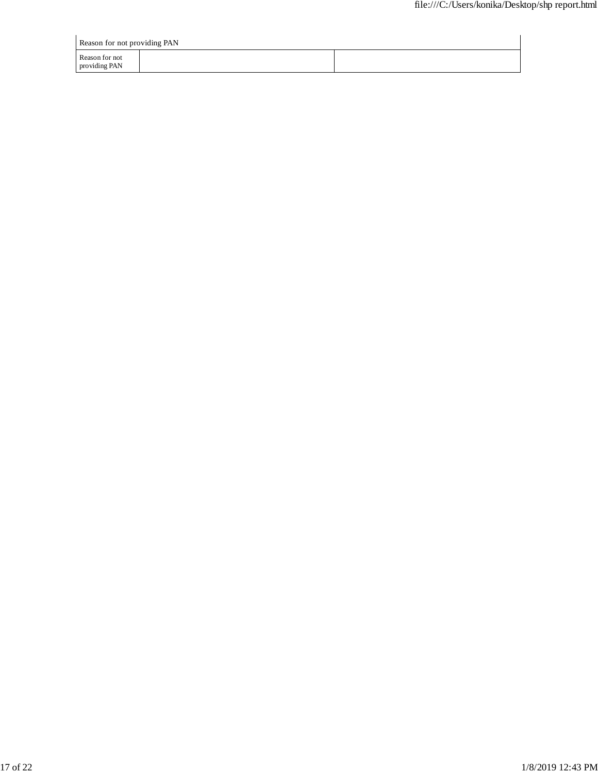| Reason for not providing PAN    |  |  |  |  |
|---------------------------------|--|--|--|--|
| Reason for not<br>providing PAN |  |  |  |  |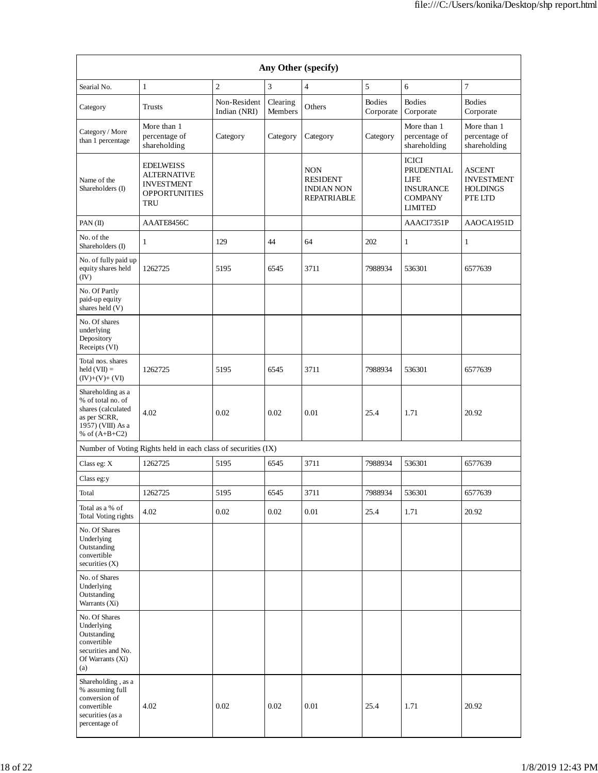| Any Other (specify)                                                                                                  |                                                                                                   |                              |                     |                                                                          |                            |                                                                                                   |                                                                  |
|----------------------------------------------------------------------------------------------------------------------|---------------------------------------------------------------------------------------------------|------------------------------|---------------------|--------------------------------------------------------------------------|----------------------------|---------------------------------------------------------------------------------------------------|------------------------------------------------------------------|
| Searial No.                                                                                                          | $\mathbf{1}$                                                                                      | $\overline{2}$               | 3                   | $\overline{4}$                                                           | 5                          | 6                                                                                                 | $\overline{7}$                                                   |
| Category                                                                                                             | <b>Trusts</b>                                                                                     | Non-Resident<br>Indian (NRI) | Clearing<br>Members | Others                                                                   | <b>Bodies</b><br>Corporate | <b>Bodies</b><br>Corporate                                                                        | <b>Bodies</b><br>Corporate                                       |
| Category / More<br>than 1 percentage                                                                                 | More than 1<br>percentage of<br>shareholding                                                      | Category                     | Category            | Category                                                                 | Category                   | More than 1<br>percentage of<br>shareholding                                                      | More than 1<br>percentage of<br>shareholding                     |
| Name of the<br>Shareholders (I)                                                                                      | <b>EDELWEISS</b><br><b>ALTERNATIVE</b><br><b>INVESTMENT</b><br><b>OPPORTUNITIES</b><br><b>TRU</b> |                              |                     | <b>NON</b><br><b>RESIDENT</b><br><b>INDIAN NON</b><br><b>REPATRIABLE</b> |                            | <b>ICICI</b><br>PRUDENTIAL<br><b>LIFE</b><br><b>INSURANCE</b><br><b>COMPANY</b><br><b>LIMITED</b> | <b>ASCENT</b><br><b>INVESTMENT</b><br><b>HOLDINGS</b><br>PTE LTD |
| PAN $(II)$                                                                                                           | AAATE8456C                                                                                        |                              |                     |                                                                          |                            | AAACI7351P                                                                                        | AAOCA1951D                                                       |
| No. of the<br>Shareholders (I)                                                                                       | 1                                                                                                 | 129                          | 44                  | 64                                                                       | 202                        | 1                                                                                                 | 1                                                                |
| No. of fully paid up<br>equity shares held<br>(IV)                                                                   | 1262725                                                                                           | 5195                         | 6545                | 3711                                                                     | 7988934                    | 536301                                                                                            | 6577639                                                          |
| No. Of Partly<br>paid-up equity<br>shares held (V)                                                                   |                                                                                                   |                              |                     |                                                                          |                            |                                                                                                   |                                                                  |
| No. Of shares<br>underlying<br>Depository<br>Receipts (VI)                                                           |                                                                                                   |                              |                     |                                                                          |                            |                                                                                                   |                                                                  |
| Total nos. shares<br>$held (VII) =$<br>$(IV)+(V)+(VI)$                                                               | 1262725                                                                                           | 5195                         | 6545                | 3711                                                                     | 7988934                    | 536301                                                                                            | 6577639                                                          |
| Shareholding as a<br>% of total no. of<br>shares (calculated<br>as per SCRR,<br>1957) (VIII) As a<br>% of $(A+B+C2)$ | 4.02                                                                                              | 0.02                         | 0.02                | 0.01                                                                     | 25.4                       | 1.71                                                                                              | 20.92                                                            |
|                                                                                                                      | Number of Voting Rights held in each class of securities (IX)                                     |                              |                     |                                                                          |                            |                                                                                                   |                                                                  |
| Class eg: X                                                                                                          | 1262725                                                                                           | 5195                         | 6545                | 3711                                                                     | 7988934                    | 536301                                                                                            | 6577639                                                          |
| Class eg:y                                                                                                           |                                                                                                   |                              |                     |                                                                          |                            |                                                                                                   |                                                                  |
| Total                                                                                                                | 1262725                                                                                           | 5195                         | 6545                | 3711                                                                     | 7988934                    | 536301                                                                                            | 6577639                                                          |
| Total as a % of<br>Total Voting rights                                                                               | 4.02                                                                                              | 0.02                         | 0.02                | $0.01\,$                                                                 | 25.4                       | 1.71                                                                                              | 20.92                                                            |
| No. Of Shares<br>Underlying<br>Outstanding<br>convertible<br>securities (X)                                          |                                                                                                   |                              |                     |                                                                          |                            |                                                                                                   |                                                                  |
| No. of Shares<br>Underlying<br>Outstanding<br>Warrants (Xi)                                                          |                                                                                                   |                              |                     |                                                                          |                            |                                                                                                   |                                                                  |
| No. Of Shares<br>Underlying<br>Outstanding<br>convertible<br>securities and No.<br>Of Warrants (Xi)<br>(a)           |                                                                                                   |                              |                     |                                                                          |                            |                                                                                                   |                                                                  |
| Shareholding, as a<br>% assuming full<br>conversion of<br>convertible<br>securities (as a<br>percentage of           | 4.02                                                                                              | 0.02                         | 0.02                | 0.01                                                                     | 25.4                       | 1.71                                                                                              | 20.92                                                            |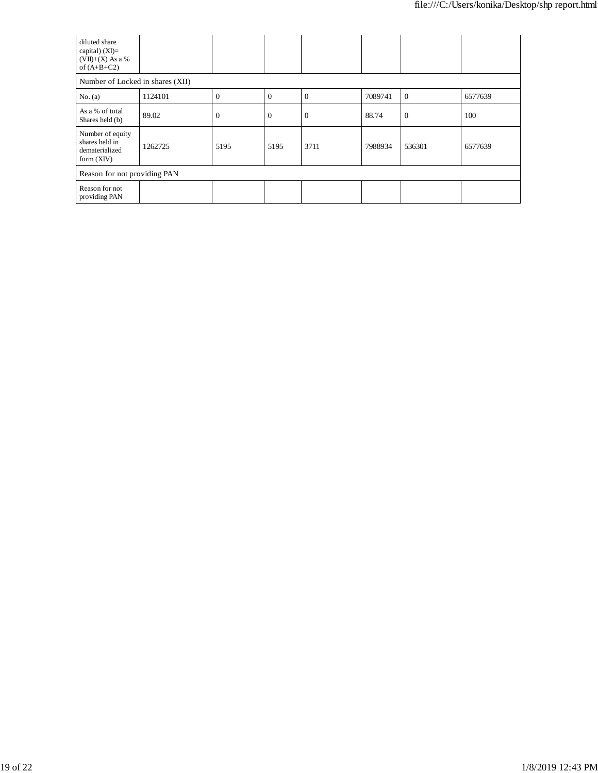| diluted share<br>capital) (XI)=<br>$(VII)+(X)$ As a %<br>of $(A+B+C2)$ |         |              |                |                |         |                |         |
|------------------------------------------------------------------------|---------|--------------|----------------|----------------|---------|----------------|---------|
| Number of Locked in shares (XII)                                       |         |              |                |                |         |                |         |
| No. (a)                                                                | 1124101 | $\theta$     | $\Omega$       | $\Omega$       | 7089741 | $\overline{0}$ | 6577639 |
| As a % of total<br>Shares held (b)                                     | 89.02   | $\mathbf{0}$ | $\overline{0}$ | $\overline{0}$ | 88.74   | $\overline{0}$ | 100     |
| Number of equity<br>shares held in<br>dematerialized<br>form $(XIV)$   | 1262725 | 5195         | 5195           | 3711           | 7988934 | 536301         | 6577639 |
| Reason for not providing PAN                                           |         |              |                |                |         |                |         |
| Reason for not<br>providing PAN                                        |         |              |                |                |         |                |         |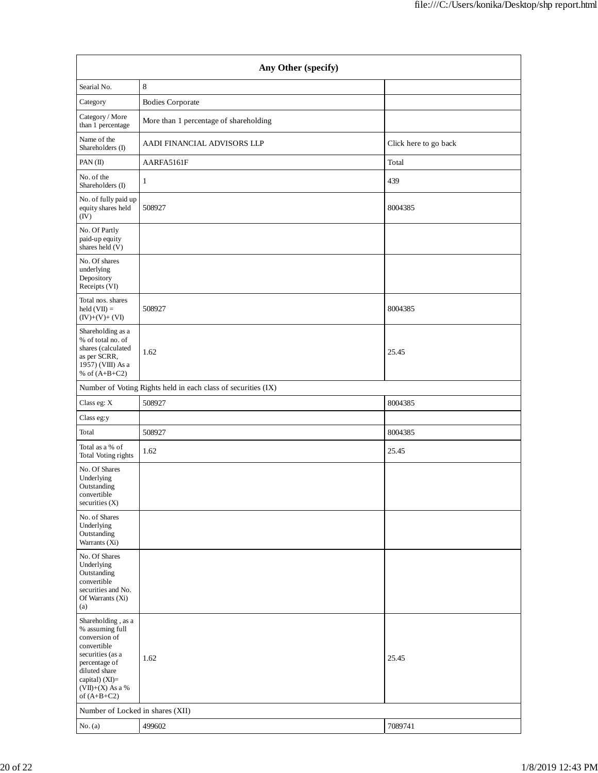| Any Other (specify)                                                                                                                                                                  |                                                               |                       |  |  |  |
|--------------------------------------------------------------------------------------------------------------------------------------------------------------------------------------|---------------------------------------------------------------|-----------------------|--|--|--|
| Searial No.                                                                                                                                                                          | 8                                                             |                       |  |  |  |
| Category                                                                                                                                                                             | <b>Bodies Corporate</b>                                       |                       |  |  |  |
| Category / More<br>than 1 percentage                                                                                                                                                 | More than 1 percentage of shareholding                        |                       |  |  |  |
| Name of the<br>Shareholders (I)                                                                                                                                                      | AADI FINANCIAL ADVISORS LLP                                   | Click here to go back |  |  |  |
| PAN(II)                                                                                                                                                                              | AARFA5161F                                                    | Total                 |  |  |  |
| No. of the<br>Shareholders (I)                                                                                                                                                       | 1                                                             | 439                   |  |  |  |
| No. of fully paid up<br>equity shares held<br>(IV)                                                                                                                                   | 508927                                                        | 8004385               |  |  |  |
| No. Of Partly<br>paid-up equity<br>shares held (V)                                                                                                                                   |                                                               |                       |  |  |  |
| No. Of shares<br>underlying<br>Depository<br>Receipts (VI)                                                                                                                           |                                                               |                       |  |  |  |
| Total nos. shares<br>$held (VII) =$<br>$(IV)+(V)+(VI)$                                                                                                                               | 508927                                                        | 8004385               |  |  |  |
| Shareholding as a<br>% of total no. of<br>shares (calculated<br>as per SCRR,<br>1957) (VIII) As a<br>% of $(A+B+C2)$                                                                 | 1.62                                                          | 25.45                 |  |  |  |
|                                                                                                                                                                                      | Number of Voting Rights held in each class of securities (IX) |                       |  |  |  |
| Class eg: X                                                                                                                                                                          | 508927                                                        | 8004385               |  |  |  |
| Class eg:y                                                                                                                                                                           |                                                               |                       |  |  |  |
| Total                                                                                                                                                                                | 508927                                                        | 8004385               |  |  |  |
| Total as a $\%$ of<br>Total Voting rights                                                                                                                                            | 1.62                                                          | 25.45                 |  |  |  |
| No. Of Shares<br>Underlying<br>Outstanding<br>convertible<br>securities (X)                                                                                                          |                                                               |                       |  |  |  |
| No. of Shares<br>Underlying<br>Outstanding<br>Warrants (Xi)                                                                                                                          |                                                               |                       |  |  |  |
| No. Of Shares<br>Underlying<br>Outstanding<br>convertible<br>securities and No.<br>Of Warrants (Xi)<br>(a)                                                                           |                                                               |                       |  |  |  |
| Shareholding, as a<br>% assuming full<br>conversion of<br>convertible<br>securities (as a<br>percentage of<br>diluted share<br>capital) (XI)=<br>$(VII)+(X)$ As a %<br>of $(A+B+C2)$ | 1.62                                                          | 25.45                 |  |  |  |
| Number of Locked in shares (XII)                                                                                                                                                     |                                                               |                       |  |  |  |
| No. (a)                                                                                                                                                                              | 499602                                                        | 7089741               |  |  |  |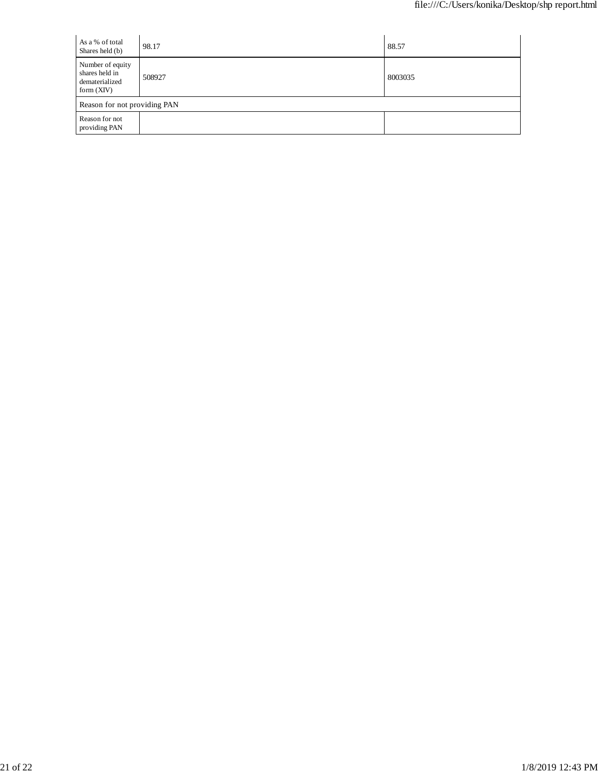| As a % of total<br>Shares held (b)                                   | 98.17  | 88.57   |
|----------------------------------------------------------------------|--------|---------|
| Number of equity<br>shares held in<br>dematerialized<br>form $(XIV)$ | 508927 | 8003035 |
| Reason for not providing PAN                                         |        |         |
| Reason for not<br>providing PAN                                      |        |         |